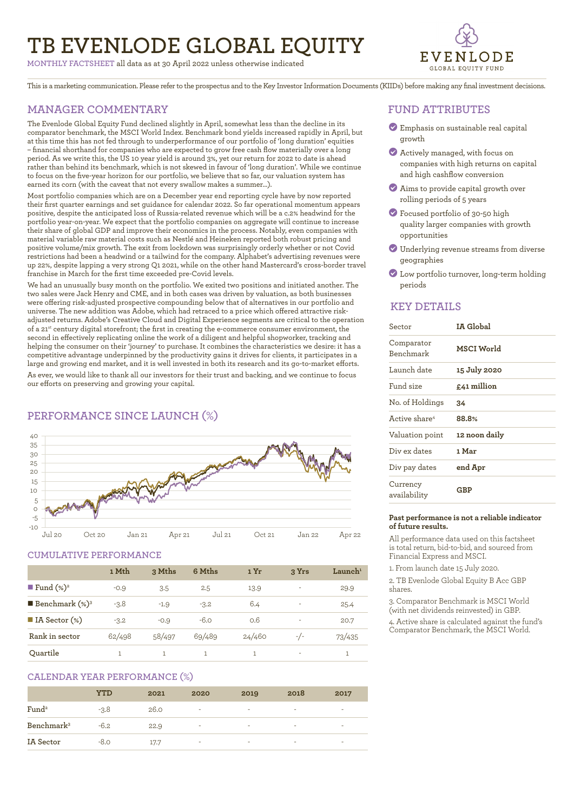# **TB EVENLODE GLOBAL EQUITY**

**MONTHLY FACTSHEET** all data as at 30 April 2022 unless otherwise indicated



This is a marketing communication. Please refer to the prospectus and to the Key Investor Information Documents (KIIDs) before making any final investment decisions.

# **MANAGER COMMENTARY**

The Evenlode Global Equity Fund declined slightly in April, somewhat less than the decline in its comparator benchmark, the MSCI World Index. Benchmark bond yields increased rapidly in April, but at this time this has not fed through to underperformance of our portfolio of 'long duration' equities – financial shorthand for companies who are expected to grow free cash flow materially over a long period. As we write this, the US 10 year yield is around 3%, yet our return for 2022 to date is ahead rather than behind its benchmark, which is not skewed in favour of 'long duration'. While we continue to focus on the five-year horizon for our portfolio, we believe that so far, our valuation system has earned its corn (with the caveat that not every swallow makes a summer…).

Most portfolio companies which are on a December year end reporting cycle have by now reported their first quarter earnings and set guidance for calendar 2022. So far operational momentum appears positive, despite the anticipated loss of Russia-related revenue which will be a c.2% headwind for the portfolio year-on-year. We expect that the portfolio companies on aggregate will continue to increase their share of global GDP and improve their economics in the process. Notably, even companies with material variable raw material costs such as Nestlé and Heineken reported both robust pricing and positive volume/mix growth. The exit from lockdown was surprisingly orderly whether or not Covid restrictions had been a headwind or a tailwind for the company. Alphabet's advertising revenues were up 22%, despite lapping a very strong Q1 2021, while on the other hand Mastercard's cross-border travel franchise in March for the first time exceeded pre-Covid levels.

We had an unusually busy month on the portfolio. We exited two positions and initiated another. The two sales were Jack Henry and CME, and in both cases was driven by valuation, as both businesses were offering risk-adjusted prospective compounding below that of alternatives in our portfolio and universe. The new addition was Adobe, which had retraced to a price which offered attractive riskadjusted returns. Adobe's Creative Cloud and Digital Experience segments are critical to the operation of a 21st century digital storefront; the first in creating the e-commerce consumer environment, the second in effectively replicating online the work of a diligent and helpful shopworker, tracking and helping the consumer on their 'journey' to purchase. It combines the characteristics we desire: it has a competitive advantage underpinned by the productivity gains it drives for clients, it participates in a large and growing end market, and it is well invested in both its research and its go-to-market efforts.

As ever, we would like to thank all our investors for their trust and backing, and we continue to focus our efforts on preserving and growing your capital.

# **PERFORMANCE SINCE LAUNCH (%)**



### **CUMULATIVE PERFORMANCE**

|                              | 1 Mth  | 3 Mths | 6 Mths | 1 Yr   | 3 Yrs | $L$ aunch <sup>1</sup> |
|------------------------------|--------|--------|--------|--------|-------|------------------------|
| ■ Fund $(\%)^2$              | $-0.9$ | 3.5    | 2.5    | 13.9   | ٠     | 29.9                   |
| <b>Benchmark</b> $(\%)^3$    | $-3.8$ | $-1.9$ | $-3.2$ | 6.4    | ۰     | 25.4                   |
| $\blacksquare$ IA Sector (%) | $-3.2$ | $-0.9$ | $-6.0$ | 0.6    | ٠     | 20.7                   |
| Rank in sector               | 62/498 | 58/497 | 69/489 | 24/460 | $-/-$ | 73/435                 |
| Quartile                     |        |        |        |        | ٠     | 1                      |

### **CALENDAR YEAR PERFORMANCE (%)**

|                        | YTD    | 2021 | 2020   | 2019                     | 2018 | 2017                     |
|------------------------|--------|------|--------|--------------------------|------|--------------------------|
| Fund <sup>2</sup>      | $-3.8$ | 26.0 | $\sim$ | $\sim$                   | ۰    | $\overline{\phantom{a}}$ |
| Benchmark <sup>3</sup> | $-6.2$ | 22.9 | ٠      | $\overline{\phantom{a}}$ | ۰    | $\overline{\phantom{a}}$ |
| IA Sector              | $-8.0$ | 17.7 | ٠      | ۰                        | -    | $\overline{\phantom{a}}$ |

# **FUND ATTRIBUTES**

- ? Emphasis on sustainable real capital growth
- ? Actively managed, with focus on companies with high returns on capital and high cashflow conversion
- ? Aims to provide capital growth over rolling periods of 5 years
- ? Focused portfolio of 30-50 high quality larger companies with growth opportunities
- ? Underlying revenue streams from diverse geographies
- ? Low portfolio turnover, long-term holding periods

# **KEY DETAILS**

| Sector                    | IA Global     |
|---------------------------|---------------|
| Comparator<br>Benchmark   | MSCI World    |
| Launch date               | 15 July 2020  |
| Fund size                 | £41 million   |
| No. of Holdings           | 34            |
| Active share <sup>4</sup> | 88.8%         |
| Valuation point           | 12 noon daily |
| Div ex dates              | 1 Mar         |
| Div pay dates             | end Apr       |
| Currency<br>availability  | GBP           |

#### **Past performance is not a reliable indicator of future results.**

All performance data used on this factsheet is total return, bid-to-bid, and sourced from Financial Express and MSCI.

1. From launch date 15 July 2020.

2. TB Evenlode Global Equity B Acc GBP shares.

3. Comparator Benchmark is MSCI World (with net dividends reinvested) in GBP.

4. Active share is calculated against the fund's Comparator Benchmark, the MSCI World.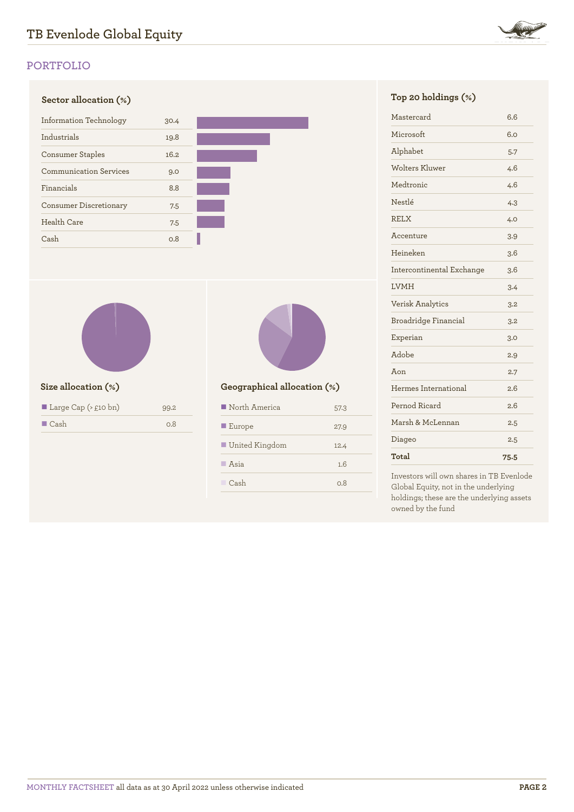

# **PORTFOLIO**





| Large Cap $(\geq \text{flo bn})$ | 99.2 |
|----------------------------------|------|
| $\blacksquare$ Cash              | 0.8  |



# **Size allocation (%) Geographical allocation (%)**

| North America         | 57.3 |
|-----------------------|------|
| $\blacksquare$ Europe | 27.9 |
| United Kingdom        | 12.4 |
| $\blacksquare$ Asia   | 1.6  |
| Cash                  | n 8  |

| Mastercard                | 6.6  |
|---------------------------|------|
| Microsoft                 | 6.0  |
| Alphabet                  | 5.7  |
| Wolters Kluwer            | 4.6  |
| Medtronic                 | 4.6  |
| Nestlé                    | 4.3  |
| <b>RELX</b>               | 4.0  |
| Accenture                 | 3.9  |
| Heineken                  | 3.6  |
| Intercontinental Exchange | 3.6  |
| <b>LVMH</b>               | 3.4  |
| <b>Verisk Analytics</b>   | 3.2  |
| Broadridge Financial      | 3.2  |
| Experian                  | 3.0  |
| Adobe                     | 2.9  |
| Aon                       | 2.7  |
| Hermes International      | 2.6  |
| Pernod Ricard             | 2.6  |
| Marsh & McLennan          | 2.5  |
| Diageo                    | 2.5  |
| Total                     | 75.5 |

Investors will own shares in TB Evenlode Global Equity, not in the underlying holdings; these are the underlying assets owned by the fund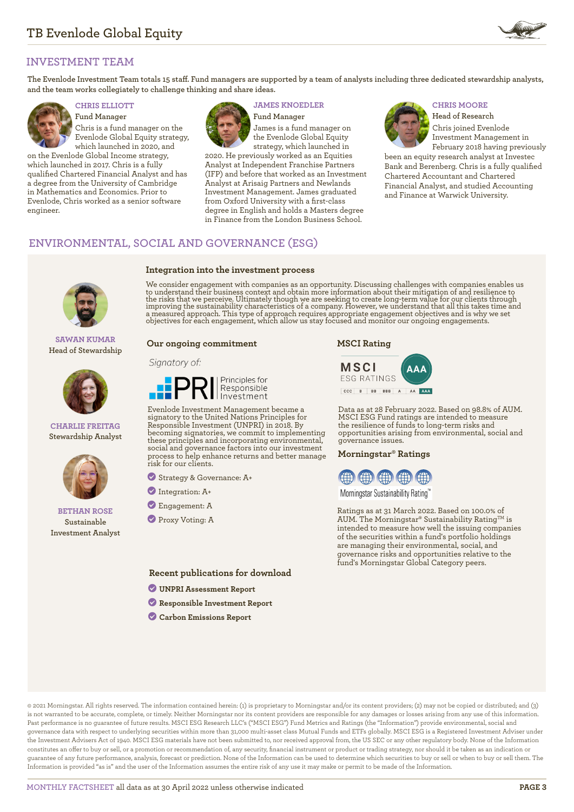

# **INVESTMENT TEAM**

**The Evenlode Investment Team totals 15 staff. Fund managers are supported by a team of analysts including three dedicated stewardship analysts, and the team works collegiately to challenge thinking and share ideas.**



**Fund Manager** Chris is a fund manager on the Evenlode Global Equity strategy, which launched in 2020, and

on the Evenlode Global Income strategy, which launched in 2017. Chris is a fully qualified Chartered Financial Analyst and has a degree from the University of Cambridge in Mathematics and Economics. Prior to Evenlode, Chris worked as a senior software engineer.



**Integration into the investment process**

# **CHRIS ELLIOTT JAMES KNOEDLER CHRIS MOORE**

**Fund Manager** James is a fund manager on the Evenlode Global Equity strategy, which launched in

2020. He previously worked as an Equities Analyst at Independent Franchise Partners (IFP) and before that worked as an Investment Analyst at Arisaig Partners and Newlands Investment Management. James graduated from Oxford University with a first-class degree in English and holds a Masters degree in Finance from the London Business School.

**Head of Research** Chris joined Evenlode Investment Management in February 2018 having previously

been an equity research analyst at Investec Bank and Berenberg. Chris is a fully qualified Chartered Accountant and Chartered Financial Analyst, and studied Accounting and Finance at Warwick University.

# **ENVIRONMENTAL, SOCIAL AND GOVERNANCE (ESG)**



**SAWAN KUMAR Head of Stewardship**



#### **CHARLIE FREITAG Stewardship Analyst**



### **BETHAN ROSE Sustainable Investment Analyst**

We consider engagement with companies as an opportunity. Discussing challenges with companies enables us to understand their business context and obtain more information about their mitigation of and resilience to<br>the risks that we perceive. Ultimately though we are seeking to create long-term value for our clients through<br>im

### **Our ongoing commitment**

#### Signatory of:



Evenlode Investment Management became a signatory to the United Nations Principles for Responsible Investment (UNPRI) in 2018. By becoming signatories, we commit to implementing these principles and incorporating environmental, social and governance factors into our investment process to help enhance returns and better manage risk for our clients.

? Strategy & Governance: A+

- ? Integration: A+
- ? Engagement: A
- ? Proxy Voting: A

**Recent publications for download**

- ? **[UNPRI Assessment Report](https://evenlodeinvestment.com/resources/stewardship-assets/2020-Assessment-Report.pdf)**
- ? **[Responsible Investment Report](https://evenlodeinvestment.com/resources/stewardship-assets/Evenlode-Investment-Annual-Responsible-Investment-Report-2021.pdf)**
- ? **[Carbon Emissions Report](https://evenlodeinvestment.com/resources/stewardship-assets/Evenlode-Portfolio-Carbon-Emissions-Report-2021.pdf)**

#### **MSCI Rating**



Data as at 28 February 2022. Based on 98.8% of AUM. MSCI ESG Fund ratings are intended to measure the resilience of funds to long-term risks and opportunities arising from environmental, social and governance issues.

#### **Morningstar® Ratings**



Morningstar Sustainability Rating™

Ratings as at 31 March 2022. Based on 100.0% of AUM. The Morningstar® Sustainability Rating<sup>TM</sup> is intended to measure how well the issuing companies of the securities within a fund's portfolio holdings are managing their environmental, social, and governance risks and opportunities relative to the fund's Morningstar Global Category peers.

© 2021 Morningstar. All rights reserved. The information contained herein: (1) is proprietary to Morningstar and/or its content providers; (2) may not be copied or distributed; and (3) is not warranted to be accurate, complete, or timely. Neither Morningstar nor its content providers are responsible for any damages or losses arising from any use of this information. Past performance is no guarantee of future results. MSCI ESG Research LLC's ("MSCI ESG") Fund Metrics and Ratings (the "Information") provide environmental, social and governance data with respect to underlying securities within more than 31,000 multi-asset class Mutual Funds and ETFs globally. MSCI ESG is a Registered Investment Adviser under the Investment Advisers Act of 1940. MSCI ESG materials have not been submitted to, nor received approval from, the US SEC or any other regulatory body. None of the Information constitutes an offer to buy or sell, or a promotion or recommendation of, any security, financial instrument or product or trading strategy, nor should it be taken as an indication or guarantee of any future performance, analysis, forecast or prediction. None of the Information can be used to determine which securities to buy or sell or when to buy or sell them. The Information is provided "as is" and the user of the Information assumes the entire risk of any use it may make or permit to be made of the Information.